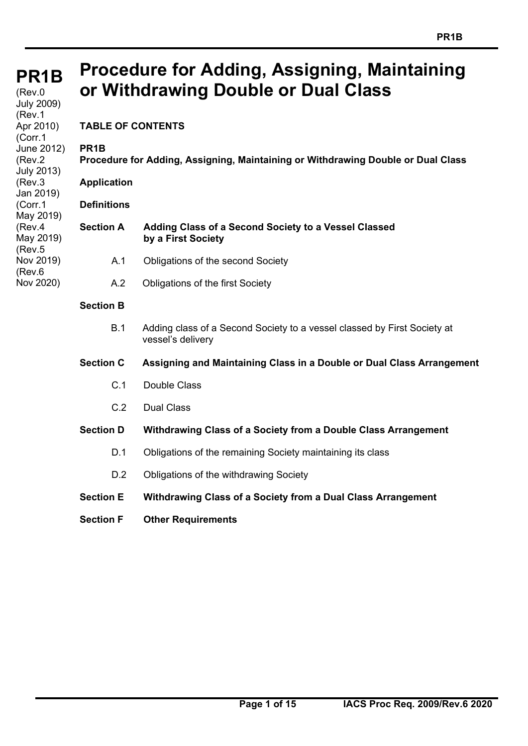#### **PR1B PR1B**   $(Rev.0$ July 2009) (Rev.1 Apr 2010) (Corr.1 June 2012) (Rev.2 July 2013) (Rev.3 Jan 2019) (Corr.1 May 2019) (Rev.4 May 2019) (Rev.5 Nov 2019) (Rev.6 Nov 2020) **Procedure for Adding, Assigning, Maintaining or Withdrawing Double or Dual Class TABLE OF CONTENTS PR1B Procedure for Adding, Assigning, Maintaining or Withdrawing Double or Dual Class Application Definitions Section A Adding Class of a Second Society to a Vessel Classed by a First Society**  A.1 Obligations of the second Society A.2 Obligations of the first Society **Section B**  B.1 Adding class of a Second Society to a vessel classed by First Society at vessel's delivery **Section C Assigning and Maintaining Class in a Double or Dual Class Arrangement**  C.1 Double Class C.2 Dual Class

## **Section D Withdrawing Class of a Society from a Double Class Arrangement**

- D.1 Obligations of the remaining Society maintaining its class
- D.2 Obligations of the withdrawing Society
- **Section E Withdrawing Class of a Society from a Dual Class Arrangement**
- **Section F Other Requirements**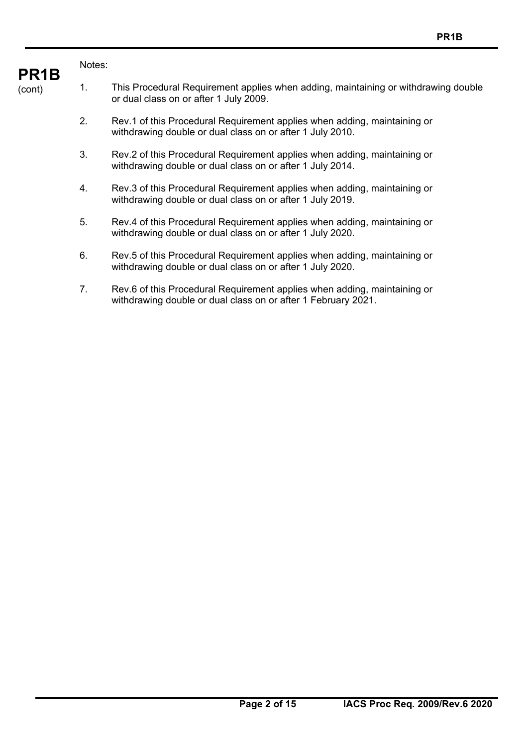## Notes:

**PR1B** 

- (cont) 1. This Procedural Requirement applies when adding, maintaining or withdrawing double or dual class on or after 1 July 2009.
	- 2. Rev.1 of this Procedural Requirement applies when adding, maintaining or withdrawing double or dual class on or after 1 July 2010.
	- 3. Rev.2 of this Procedural Requirement applies when adding, maintaining or withdrawing double or dual class on or after 1 July 2014.
	- 4. Rev.3 of this Procedural Requirement applies when adding, maintaining or withdrawing double or dual class on or after 1 July 2019.
	- 5. Rev.4 of this Procedural Requirement applies when adding, maintaining or withdrawing double or dual class on or after 1 July 2020.
	- 6. Rev.5 of this Procedural Requirement applies when adding, maintaining or withdrawing double or dual class on or after 1 July 2020.
	- 7. Rev.6 of this Procedural Requirement applies when adding, maintaining or withdrawing double or dual class on or after 1 February 2021.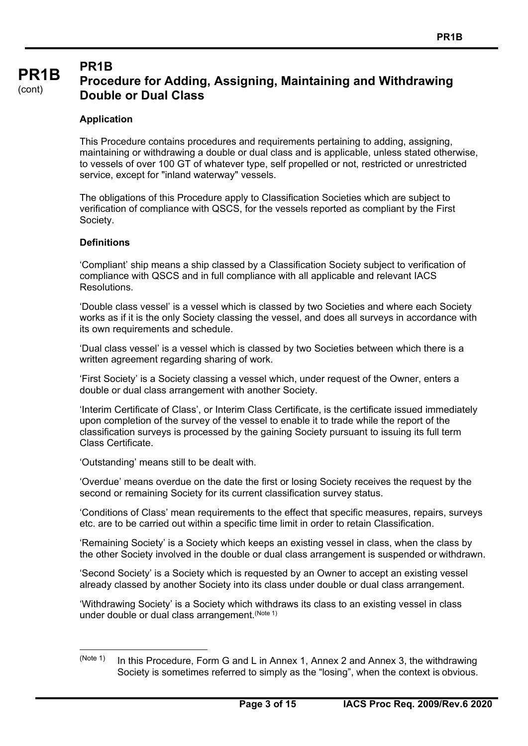## **PR1B**

#### **PR1B**  (cont) **Procedure for Adding, Assigning, Maintaining and Withdrawing Double or Dual Class**

## **Application**

This Procedure contains procedures and requirements pertaining to adding, assigning, maintaining or withdrawing a double or dual class and is applicable, unless stated otherwise, to vessels of over 100 GT of whatever type, self propelled or not, restricted or unrestricted service, except for "inland waterway" vessels.

The obligations of this Procedure apply to Classification Societies which are subject to verification of compliance with QSCS, for the vessels reported as compliant by the First Society.

## **Definitions**

'Compliant' ship means a ship classed by a Classification Society subject to verification of compliance with QSCS and in full compliance with all applicable and relevant IACS Resolutions.

'Double class vessel' is a vessel which is classed by two Societies and where each Society works as if it is the only Society classing the vessel, and does all surveys in accordance with its own requirements and schedule.

'Dual class vessel' is a vessel which is classed by two Societies between which there is a written agreement regarding sharing of work.

'First Society' is a Society classing a vessel which, under request of the Owner, enters a double or dual class arrangement with another Society.

'Interim Certificate of Class', or Interim Class Certificate, is the certificate issued immediately upon completion of the survey of the vessel to enable it to trade while the report of the classification surveys is processed by the gaining Society pursuant to issuing its full term Class Certificate.

'Outstanding' means still to be dealt with.

'Overdue' means overdue on the date the first or losing Society receives the request by the second or remaining Society for its current classification survey status.

'Conditions of Class' mean requirements to the effect that specific measures, repairs, surveys etc. are to be carried out within a specific time limit in order to retain Classification.

'Remaining Society' is a Society which keeps an existing vessel in class, when the class by the other Society involved in the double or dual class arrangement is suspended or withdrawn.

'Second Society' is a Society which is requested by an Owner to accept an existing vessel already classed by another Society into its class under double or dual class arrangement.

'Withdrawing Society' is a Society which withdraws its class to an existing vessel in class under double or dual class arrangement. (Note 1)

 $(N^{10}$  In this Procedure, Form G and L in Annex 1, Annex 2 and Annex 3, the withdrawing Society is sometimes referred to simply as the "losing", when the context is obvious.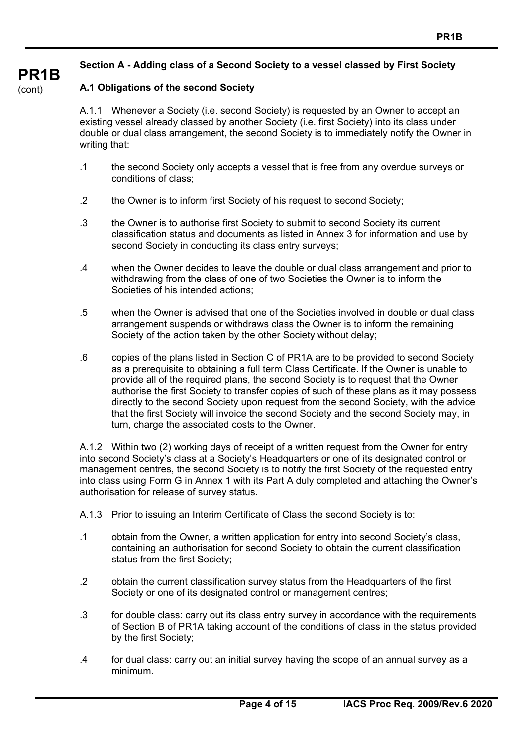## **Section A - Adding class of a Second Society to a vessel classed by First Society**

## **A.1 Obligations of the second Society**

A.1.1 Whenever a Society (i.e. second Society) is requested by an Owner to accept an existing vessel already classed by another Society (i.e. first Society) into its class under double or dual class arrangement, the second Society is to immediately notify the Owner in writing that:

- .1 the second Society only accepts a vessel that is free from any overdue surveys or conditions of class;
- .2 the Owner is to inform first Society of his request to second Society;
- .3 the Owner is to authorise first Society to submit to second Society its current classification status and documents as listed in Annex 3 for information and use by second Society in conducting its class entry surveys;
- .4 when the Owner decides to leave the double or dual class arrangement and prior to withdrawing from the class of one of two Societies the Owner is to inform the Societies of his intended actions;
- .5 when the Owner is advised that one of the Societies involved in double or dual class arrangement suspends or withdraws class the Owner is to inform the remaining Society of the action taken by the other Society without delay;
- .6 copies of the plans listed in Section C of PR1A are to be provided to second Society as a prerequisite to obtaining a full term Class Certificate. If the Owner is unable to provide all of the required plans, the second Society is to request that the Owner authorise the first Society to transfer copies of such of these plans as it may possess directly to the second Society upon request from the second Society, with the advice that the first Society will invoice the second Society and the second Society may, in turn, charge the associated costs to the Owner.

A.1.2 Within two (2) working days of receipt of a written request from the Owner for entry into second Society's class at a Society's Headquarters or one of its designated control or management centres, the second Society is to notify the first Society of the requested entry into class using Form G in Annex 1 with its Part A duly completed and attaching the Owner's authorisation for release of survey status.

- A.1.3 Prior to issuing an Interim Certificate of Class the second Society is to:
- .1 obtain from the Owner, a written application for entry into second Society's class, containing an authorisation for second Society to obtain the current classification status from the first Society;
- .2 obtain the current classification survey status from the Headquarters of the first Society or one of its designated control or management centres;
- .3 for double class: carry out its class entry survey in accordance with the requirements of Section B of PR1A taking account of the conditions of class in the status provided by the first Society;
- .4 for dual class: carry out an initial survey having the scope of an annual survey as a minimum.

## **PR1B**

(cont)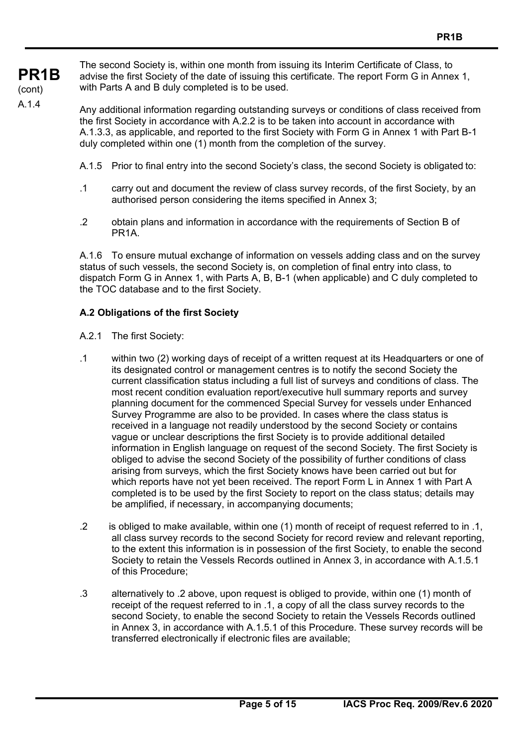**PR1B**  (cont) A.1.4

The second Society is, within one month from issuing its Interim Certificate of Class, to advise the first Society of the date of issuing this certificate. The report Form G in Annex 1, with Parts A and B duly completed is to be used.

Any additional information regarding outstanding surveys or conditions of class received from the first Society in accordance with A.2.2 is to be taken into account in accordance with A.1.3.3, as applicable, and reported to the first Society with Form G in Annex 1 with Part B-1 duly completed within one (1) month from the completion of the survey.

- A.1.5 Prior to final entry into the second Society's class, the second Society is obligated to:
- .1 carry out and document the review of class survey records, of the first Society, by an authorised person considering the items specified in Annex 3;
- .2 obtain plans and information in accordance with the requirements of Section B of PR1A.

A.1.6 To ensure mutual exchange of information on vessels adding class and on the survey status of such vessels, the second Society is, on completion of final entry into class, to dispatch Form G in Annex 1, with Parts A, B, B-1 (when applicable) and C duly completed to the TOC database and to the first Society.

## **A.2 Obligations of the first Society**

- A.2.1 The first Society:
- .1 within two (2) working days of receipt of a written request at its Headquarters or one of its designated control or management centres is to notify the second Society the current classification status including a full list of surveys and conditions of class. The most recent condition evaluation report/executive hull summary reports and survey planning document for the commenced Special Survey for vessels under Enhanced Survey Programme are also to be provided. In cases where the class status is received in a language not readily understood by the second Society or contains vague or unclear descriptions the first Society is to provide additional detailed information in English language on request of the second Society. The first Society is obliged to advise the second Society of the possibility of further conditions of class arising from surveys, which the first Society knows have been carried out but for which reports have not yet been received. The report Form L in Annex 1 with Part A completed is to be used by the first Society to report on the class status; details may be amplified, if necessary, in accompanying documents;
- .2 is obliged to make available, within one (1) month of receipt of request referred to in .1, all class survey records to the second Society for record review and relevant reporting, to the extent this information is in possession of the first Society, to enable the second Society to retain the Vessels Records outlined in Annex 3, in accordance with A.1.5.1 of this Procedure;
- .3 alternatively to .2 above, upon request is obliged to provide, within one (1) month of receipt of the request referred to in .1, a copy of all the class survey records to the second Society, to enable the second Society to retain the Vessels Records outlined in Annex 3, in accordance with A.1.5.1 of this Procedure. These survey records will be transferred electronically if electronic files are available;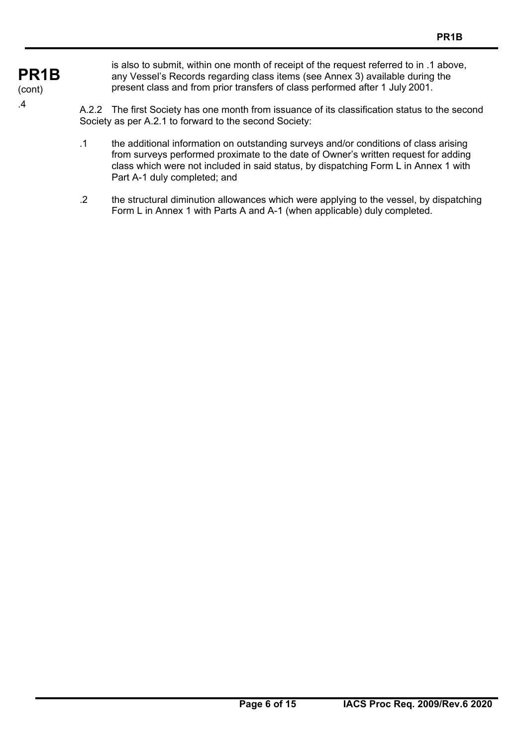**PR1B**  (cont) .4

is also to submit, within one month of receipt of the request referred to in .1 above, any Vessel's Records regarding class items (see Annex 3) available during the present class and from prior transfers of class performed after 1 July 2001.

A.2.2 The first Society has one month from issuance of its classification status to the second Society as per A.2.1 to forward to the second Society:

- .1 the additional information on outstanding surveys and/or conditions of class arising from surveys performed proximate to the date of Owner's written request for adding class which were not included in said status, by dispatching Form L in Annex 1 with Part A-1 duly completed; and
- .2 the structural diminution allowances which were applying to the vessel, by dispatching Form L in Annex 1 with Parts A and A-1 (when applicable) duly completed.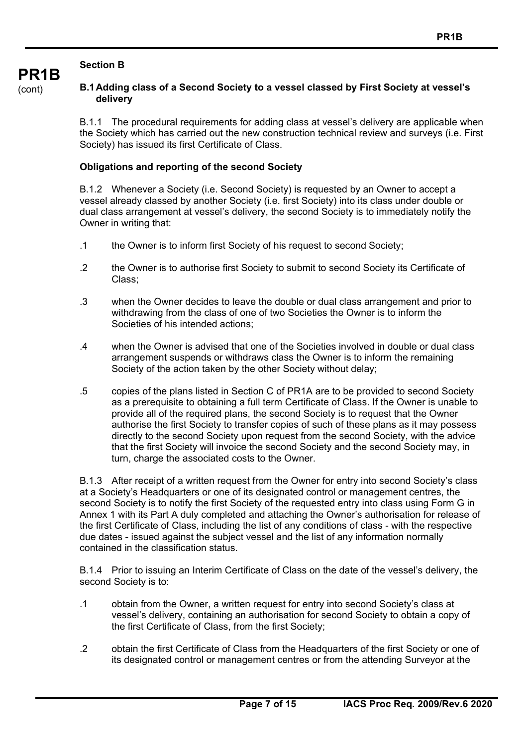## **Section B**

## **B.1 Adding class of a Second Society to a vessel classed by First Society at vessel's delivery**

B.1.1 The procedural requirements for adding class at vessel's delivery are applicable when the Society which has carried out the new construction technical review and surveys (i.e. First Society) has issued its first Certificate of Class.

## **Obligations and reporting of the second Society**

B.1.2 Whenever a Society (i.e. Second Society) is requested by an Owner to accept a vessel already classed by another Society (i.e. first Society) into its class under double or dual class arrangement at vessel's delivery, the second Society is to immediately notify the Owner in writing that:

- .1 the Owner is to inform first Society of his request to second Society;
- .2 the Owner is to authorise first Society to submit to second Society its Certificate of Class;
- .3 when the Owner decides to leave the double or dual class arrangement and prior to withdrawing from the class of one of two Societies the Owner is to inform the Societies of his intended actions;
- .4 when the Owner is advised that one of the Societies involved in double or dual class arrangement suspends or withdraws class the Owner is to inform the remaining Society of the action taken by the other Society without delay;
- .5 copies of the plans listed in Section C of PR1A are to be provided to second Society as a prerequisite to obtaining a full term Certificate of Class. If the Owner is unable to provide all of the required plans, the second Society is to request that the Owner authorise the first Society to transfer copies of such of these plans as it may possess directly to the second Society upon request from the second Society, with the advice that the first Society will invoice the second Society and the second Society may, in turn, charge the associated costs to the Owner.

B.1.3 After receipt of a written request from the Owner for entry into second Society's class at a Society's Headquarters or one of its designated control or management centres, the second Society is to notify the first Society of the requested entry into class using Form G in Annex 1 with its Part A duly completed and attaching the Owner's authorisation for release of the first Certificate of Class, including the list of any conditions of class - with the respective due dates - issued against the subject vessel and the list of any information normally contained in the classification status.

B.1.4 Prior to issuing an Interim Certificate of Class on the date of the vessel's delivery, the second Society is to:

- .1 obtain from the Owner, a written request for entry into second Society's class at vessel's delivery, containing an authorisation for second Society to obtain a copy of the first Certificate of Class, from the first Society;
- .2 obtain the first Certificate of Class from the Headquarters of the first Society or one of its designated control or management centres or from the attending Surveyor at the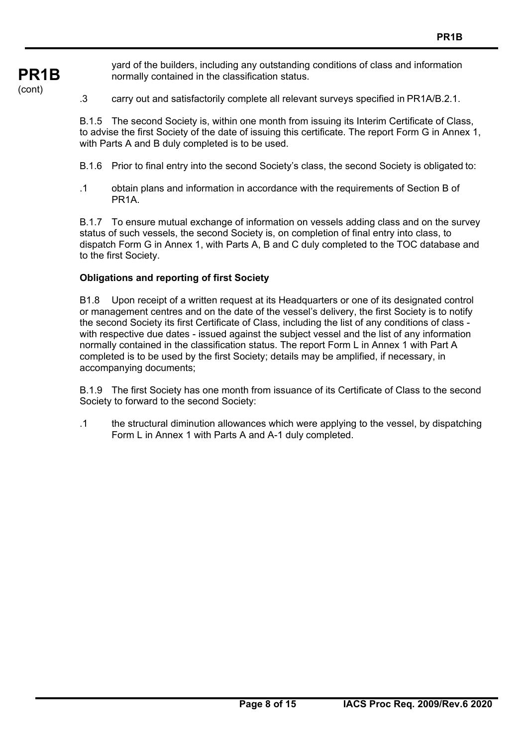yard of the builders, including any outstanding conditions of class and information normally contained in the classification status.

.3 carry out and satisfactorily complete all relevant surveys specified in PR1A/B.2.1.

B.1.5 The second Society is, within one month from issuing its Interim Certificate of Class, to advise the first Society of the date of issuing this certificate. The report Form G in Annex 1, with Parts A and B duly completed is to be used.

- B.1.6 Prior to final entry into the second Society's class, the second Society is obligated to:
- .1 obtain plans and information in accordance with the requirements of Section B of PR1A.

B.1.7 To ensure mutual exchange of information on vessels adding class and on the survey status of such vessels, the second Society is, on completion of final entry into class, to dispatch Form G in Annex 1, with Parts A, B and C duly completed to the TOC database and to the first Society.

### **Obligations and reporting of first Society**

**PR1B** 

(cont)

B1.8 Upon receipt of a written request at its Headquarters or one of its designated control or management centres and on the date of the vessel's delivery, the first Society is to notify the second Society its first Certificate of Class, including the list of any conditions of class with respective due dates - issued against the subject vessel and the list of any information normally contained in the classification status. The report Form L in Annex 1 with Part A completed is to be used by the first Society; details may be amplified, if necessary, in accompanying documents;

B.1.9 The first Society has one month from issuance of its Certificate of Class to the second Society to forward to the second Society:

.1 the structural diminution allowances which were applying to the vessel, by dispatching Form L in Annex 1 with Parts A and A-1 duly completed.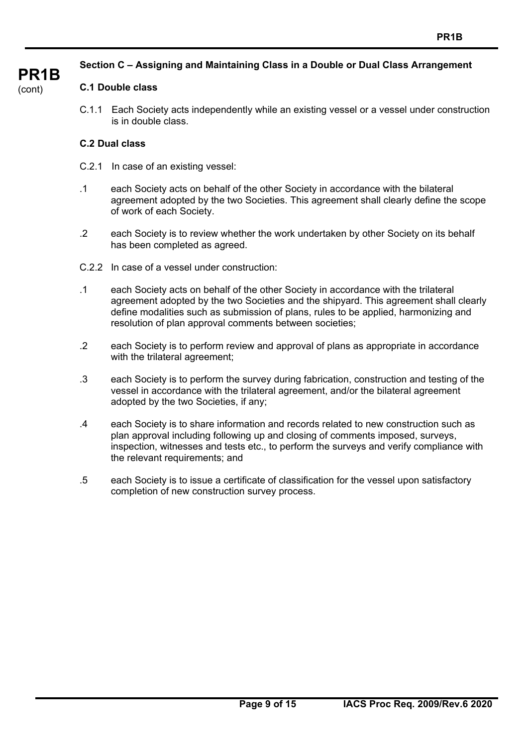## **Section C – Assigning and Maintaining Class in a Double or Dual Class Arrangement**

# **PR1B**

#### (cont)

## **C.1 Double class**

C.1.1 Each Society acts independently while an existing vessel or a vessel under construction is in double class.

## **C.2 Dual class**

- C.2.1 In case of an existing vessel:
- .1 each Society acts on behalf of the other Society in accordance with the bilateral agreement adopted by the two Societies. This agreement shall clearly define the scope of work of each Society.
- .2 each Society is to review whether the work undertaken by other Society on its behalf has been completed as agreed.
- C.2.2 In case of a vessel under construction:
- .1 each Society acts on behalf of the other Society in accordance with the trilateral agreement adopted by the two Societies and the shipyard. This agreement shall clearly define modalities such as submission of plans, rules to be applied, harmonizing and resolution of plan approval comments between societies;
- .2 each Society is to perform review and approval of plans as appropriate in accordance with the trilateral agreement;
- .3 each Society is to perform the survey during fabrication, construction and testing of the vessel in accordance with the trilateral agreement, and/or the bilateral agreement adopted by the two Societies, if any;
- .4 each Society is to share information and records related to new construction such as plan approval including following up and closing of comments imposed, surveys, inspection, witnesses and tests etc., to perform the surveys and verify compliance with the relevant requirements; and
- .5 each Society is to issue a certificate of classification for the vessel upon satisfactory completion of new construction survey process.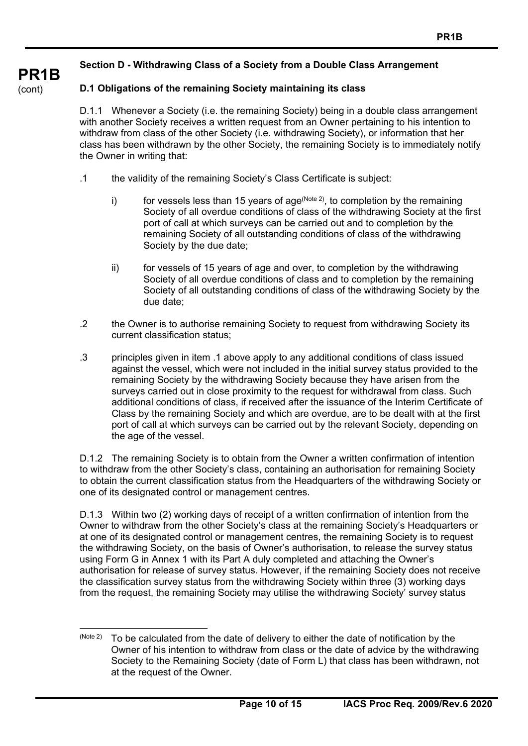## **Section D - Withdrawing Class of a Society from a Double Class Arrangement**

## **D.1 Obligations of the remaining Society maintaining its class**

**PR1B** 

(cont)

D.1.1 Whenever a Society (i.e. the remaining Society) being in a double class arrangement with another Society receives a written request from an Owner pertaining to his intention to withdraw from class of the other Society (i.e. withdrawing Society), or information that her class has been withdrawn by the other Society, the remaining Society is to immediately notify the Owner in writing that:

- .1 the validity of the remaining Society's Class Certificate is subject:
	- i) for vessels less than 15 years of age  $(N^{o_{\text{tot}} 2})$ , to completion by the remaining Society of all overdue conditions of class of the withdrawing Society at the first port of call at which surveys can be carried out and to completion by the remaining Society of all outstanding conditions of class of the withdrawing Society by the due date;
	- ii) for vessels of 15 years of age and over, to completion by the withdrawing Society of all overdue conditions of class and to completion by the remaining Society of all outstanding conditions of class of the withdrawing Society by the due date;
- .2 the Owner is to authorise remaining Society to request from withdrawing Society its current classification status;
- .3 principles given in item .1 above apply to any additional conditions of class issued against the vessel, which were not included in the initial survey status provided to the remaining Society by the withdrawing Society because they have arisen from the surveys carried out in close proximity to the request for withdrawal from class. Such additional conditions of class, if received after the issuance of the Interim Certificate of Class by the remaining Society and which are overdue, are to be dealt with at the first port of call at which surveys can be carried out by the relevant Society, depending on the age of the vessel.

D.1.2 The remaining Society is to obtain from the Owner a written confirmation of intention to withdraw from the other Society's class, containing an authorisation for remaining Society to obtain the current classification status from the Headquarters of the withdrawing Society or one of its designated control or management centres.

D.1.3 Within two (2) working days of receipt of a written confirmation of intention from the Owner to withdraw from the other Society's class at the remaining Society's Headquarters or at one of its designated control or management centres, the remaining Society is to request the withdrawing Society, on the basis of Owner's authorisation, to release the survey status using Form G in Annex 1 with its Part A duly completed and attaching the Owner's authorisation for release of survey status. However, if the remaining Society does not receive the classification survey status from the withdrawing Society within three (3) working days from the request, the remaining Society may utilise the withdrawing Society' survey status

 $(N^{10}$  (Note 2) To be calculated from the date of delivery to either the date of notification by the Owner of his intention to withdraw from class or the date of advice by the withdrawing Society to the Remaining Society (date of Form L) that class has been withdrawn, not at the request of the Owner.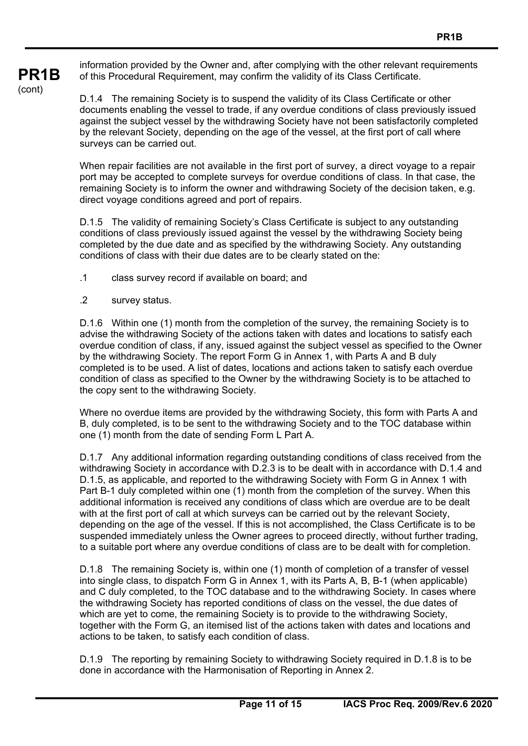information provided by the Owner and, after complying with the other relevant requirements of this Procedural Requirement, may confirm the validity of its Class Certificate.

D.1.4 The remaining Society is to suspend the validity of its Class Certificate or other documents enabling the vessel to trade, if any overdue conditions of class previously issued against the subject vessel by the withdrawing Society have not been satisfactorily completed by the relevant Society, depending on the age of the vessel, at the first port of call where surveys can be carried out.

When repair facilities are not available in the first port of survey, a direct voyage to a repair port may be accepted to complete surveys for overdue conditions of class. In that case, the remaining Society is to inform the owner and withdrawing Society of the decision taken, e.g. direct voyage conditions agreed and port of repairs.

D.1.5 The validity of remaining Society's Class Certificate is subject to any outstanding conditions of class previously issued against the vessel by the withdrawing Society being completed by the due date and as specified by the withdrawing Society. Any outstanding conditions of class with their due dates are to be clearly stated on the:

- .1 class survey record if available on board; and
- .2 survey status.

**PR1B** 

(cont)

D.1.6 Within one (1) month from the completion of the survey, the remaining Society is to advise the withdrawing Society of the actions taken with dates and locations to satisfy each overdue condition of class, if any, issued against the subject vessel as specified to the Owner by the withdrawing Society. The report Form G in Annex 1, with Parts A and B duly completed is to be used. A list of dates, locations and actions taken to satisfy each overdue condition of class as specified to the Owner by the withdrawing Society is to be attached to the copy sent to the withdrawing Society.

Where no overdue items are provided by the withdrawing Society, this form with Parts A and B, duly completed, is to be sent to the withdrawing Society and to the TOC database within one (1) month from the date of sending Form L Part A.

D.1.7 Any additional information regarding outstanding conditions of class received from the withdrawing Society in accordance with D.2.3 is to be dealt with in accordance with D.1.4 and D.1.5, as applicable, and reported to the withdrawing Society with Form G in Annex 1 with Part B-1 duly completed within one (1) month from the completion of the survey. When this additional information is received any conditions of class which are overdue are to be dealt with at the first port of call at which surveys can be carried out by the relevant Society, depending on the age of the vessel. If this is not accomplished, the Class Certificate is to be suspended immediately unless the Owner agrees to proceed directly, without further trading, to a suitable port where any overdue conditions of class are to be dealt with for completion.

D.1.8 The remaining Society is, within one (1) month of completion of a transfer of vessel into single class, to dispatch Form G in Annex 1, with its Parts A, B, B-1 (when applicable) and C duly completed, to the TOC database and to the withdrawing Society. In cases where the withdrawing Society has reported conditions of class on the vessel, the due dates of which are yet to come, the remaining Society is to provide to the withdrawing Society, together with the Form G, an itemised list of the actions taken with dates and locations and actions to be taken, to satisfy each condition of class.

D.1.9 The reporting by remaining Society to withdrawing Society required in D.1.8 is to be done in accordance with the Harmonisation of Reporting in Annex 2.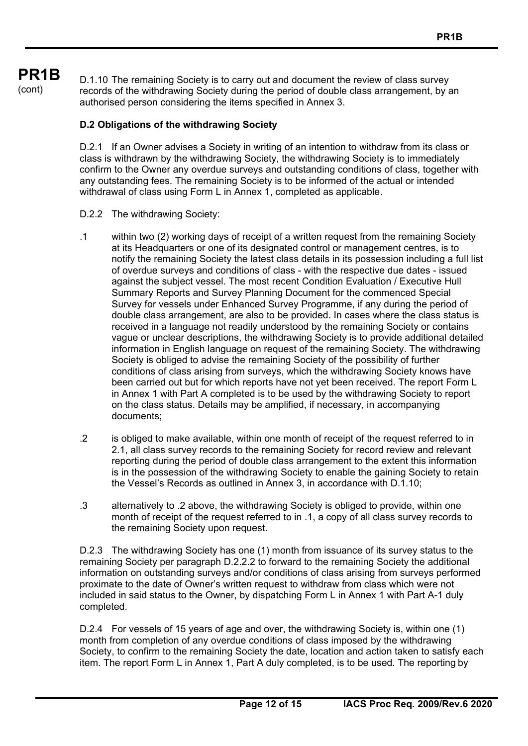## **PR1B**  (cont)

D.1.10 The remaining Society is to carry out and document the review of class survey records of the withdrawing Society during the period of double class arrangement, by an authorised person considering the items specified in Annex 3.

## **D.2 Obligations of the withdrawing Society**

D.2.1 If an Owner advises a Society in writing of an intention to withdraw from its class or class is withdrawn by the withdrawing Society, the withdrawing Society is to immediately confirm to the Owner any overdue surveys and outstanding conditions of class, together with any outstanding fees. The remaining Society is to be informed of the actual or intended withdrawal of class using Form L in Annex 1, completed as applicable.

## D.2.2 The withdrawing Society:

- .1 within two (2) working days of receipt of a written request from the remaining Society at its Headquarters or one of its designated control or management centres, is to notify the remaining Society the latest class details in its possession including a full list of overdue surveys and conditions of class - with the respective due dates - issued against the subject vessel. The most recent Condition Evaluation / Executive Hull Summary Reports and Survey Planning Document for the commenced Special Survey for vessels under Enhanced Survey Programme, if any during the period of double class arrangement, are also to be provided. In cases where the class status is received in a language not readily understood by the remaining Society or contains vague or unclear descriptions, the withdrawing Society is to provide additional detailed information in English language on request of the remaining Society. The withdrawing Society is obliged to advise the remaining Society of the possibility of further conditions of class arising from surveys, which the withdrawing Society knows have been carried out but for which reports have not yet been received. The report Form L in Annex 1 with Part A completed is to be used by the withdrawing Society to report on the class status. Details may be amplified, if necessary, in accompanying documents;
- .2 is obliged to make available, within one month of receipt of the request referred to in 2.1, all class survey records to the remaining Society for record review and relevant reporting during the period of double class arrangement to the extent this information is in the possession of the withdrawing Society to enable the gaining Society to retain the Vessel's Records as outlined in Annex 3, in accordance with D.1.10;
- .3 alternatively to .2 above, the withdrawing Society is obliged to provide, within one month of receipt of the request referred to in .1, a copy of all class survey records to the remaining Society upon request.

D.2.3 The withdrawing Society has one (1) month from issuance of its survey status to the remaining Society per paragraph D.2.2.2 to forward to the remaining Society the additional information on outstanding surveys and/or conditions of class arising from surveys performed proximate to the date of Owner's written request to withdraw from class which were not included in said status to the Owner, by dispatching Form L in Annex 1 with Part A-1 duly completed.

D.2.4 For vessels of 15 years of age and over, the withdrawing Society is, within one (1) month from completion of any overdue conditions of class imposed by the withdrawing Society, to confirm to the remaining Society the date, location and action taken to satisfy each item. The report Form L in Annex 1, Part A duly completed, is to be used. The reporting by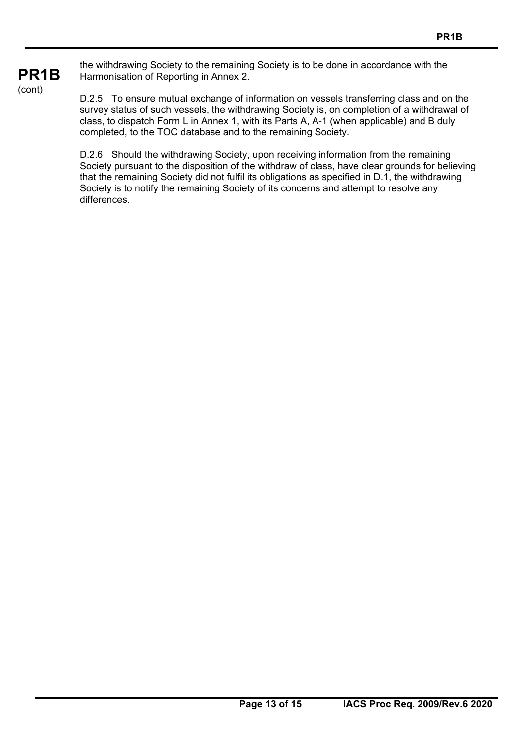the withdrawing Society to the remaining Society is to be done in accordance with the Harmonisation of Reporting in Annex 2.

D.2.5 To ensure mutual exchange of information on vessels transferring class and on the survey status of such vessels, the withdrawing Society is, on completion of a withdrawal of class, to dispatch Form L in Annex 1, with its Parts A, A-1 (when applicable) and B duly completed, to the TOC database and to the remaining Society.

D.2.6 Should the withdrawing Society, upon receiving information from the remaining Society pursuant to the disposition of the withdraw of class, have clear grounds for believing that the remaining Society did not fulfil its obligations as specified in D.1, the withdrawing Society is to notify the remaining Society of its concerns and attempt to resolve any differences.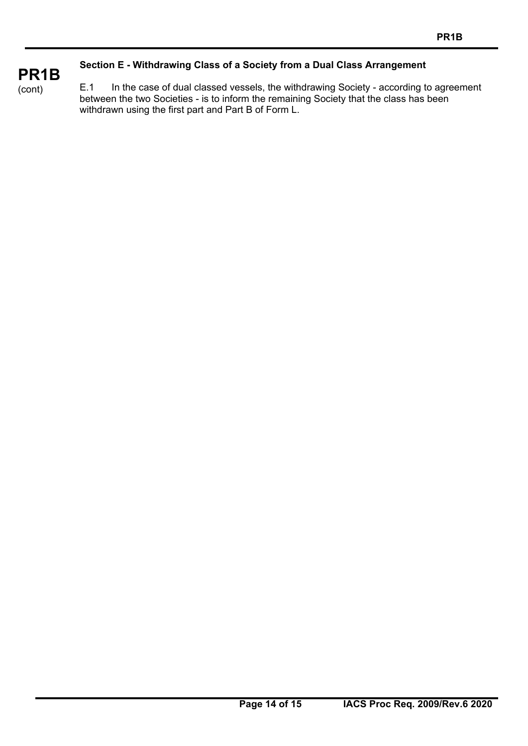## **Section E - Withdrawing Class of a Society from a Dual Class Arrangement**

E.1 In the case of dual classed vessels, the withdrawing Society - according to agreement between the two Societies - is to inform the remaining Society that the class has been withdrawn using the first part and Part B of Form L.